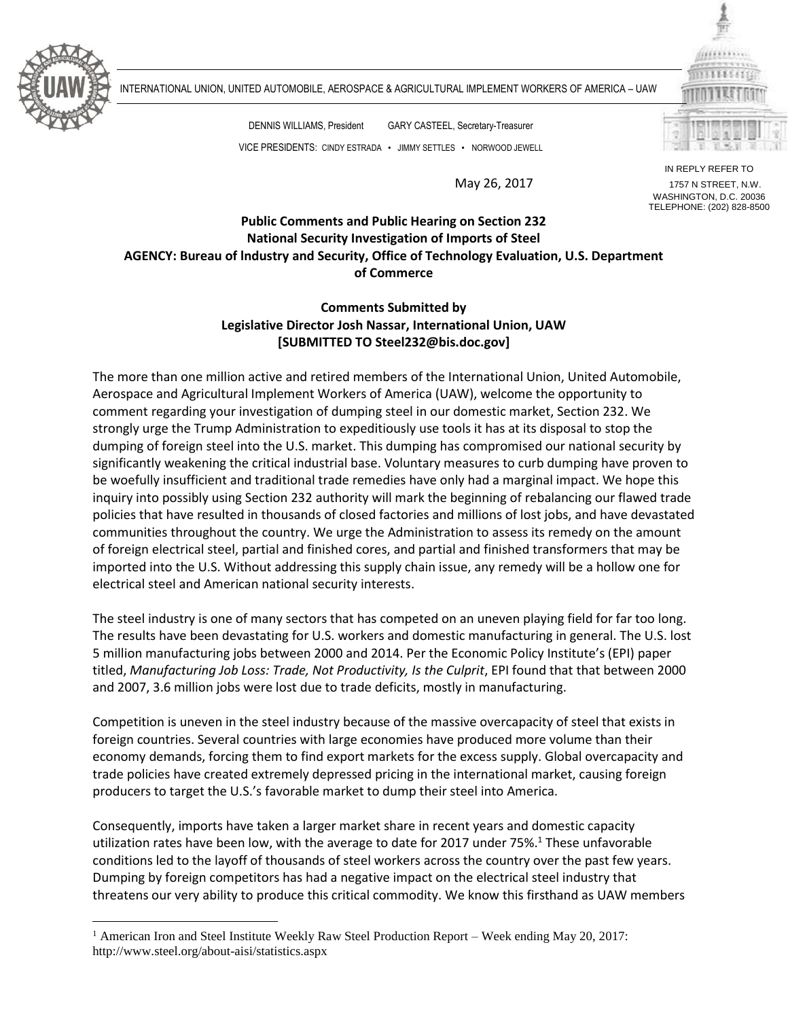

 $\overline{a}$ 

INTERNATIONAL UNION, UNITED AUTOMOBILE, AEROSPACE & AGRICULTURAL IMPLEMENT WORKERS OF AMERICA – UAW

DENNIS WILLIAMS, President GARY CASTEEL, Secretary-Treasurer VICE PRESIDENTS: CINDY ESTRADA • JIMMY SETTLES • NORWOOD JEWELL

IN REPLY REFER TO May 26, 2017 1757 N STREET, N.W. WASHINGTON, D.C. 20036 TELEPHONE: (202) 828-8500

## **Public Comments and Public Hearing on Section 232 National Security Investigation of Imports of Steel AGENCY: Bureau of lndustry and Security, Office of Technology Evaluation, U.S. Department of Commerce**

## **Comments Submitted by Legislative Director Josh Nassar, International Union, UAW [SUBMITTED TO Steel232@bis.doc.gov]**

The more than one million active and retired members of the International Union, United Automobile, Aerospace and Agricultural Implement Workers of America (UAW), welcome the opportunity to comment regarding your investigation of dumping steel in our domestic market, Section 232. We strongly urge the Trump Administration to expeditiously use tools it has at its disposal to stop the dumping of foreign steel into the U.S. market. This dumping has compromised our national security by significantly weakening the critical industrial base. Voluntary measures to curb dumping have proven to be woefully insufficient and traditional trade remedies have only had a marginal impact. We hope this inquiry into possibly using Section 232 authority will mark the beginning of rebalancing our flawed trade policies that have resulted in thousands of closed factories and millions of lost jobs, and have devastated communities throughout the country. We urge the Administration to assess its remedy on the amount of foreign electrical steel, partial and finished cores, and partial and finished transformers that may be imported into the U.S. Without addressing this supply chain issue, any remedy will be a hollow one for electrical steel and American national security interests.

The steel industry is one of many sectors that has competed on an uneven playing field for far too long. The results have been devastating for U.S. workers and domestic manufacturing in general. The U.S. lost 5 million manufacturing jobs between 2000 and 2014. Per the Economic Policy Institute's (EPI) paper titled, *Manufacturing Job Loss: Trade, Not Productivity, Is the Culprit*, EPI found that that between 2000 and 2007, 3.6 million jobs were lost due to trade deficits, mostly in manufacturing.

Competition is uneven in the steel industry because of the massive overcapacity of steel that exists in foreign countries. Several countries with large economies have produced more volume than their economy demands, forcing them to find export markets for the excess supply. Global overcapacity and trade policies have created extremely depressed pricing in the international market, causing foreign producers to target the U.S.'s favorable market to dump their steel into America.

Consequently, imports have taken a larger market share in recent years and domestic capacity utilization rates have been low, with the average to date for 2017 under 75%. <sup>1</sup> These unfavorable conditions led to the layoff of thousands of steel workers across the country over the past few years. Dumping by foreign competitors has had a negative impact on the electrical steel industry that threatens our very ability to produce this critical commodity. We know this firsthand as UAW members

<sup>&</sup>lt;sup>1</sup> American Iron and Steel Institute Weekly Raw Steel Production Report – Week ending May 20, 2017: http://www.steel.org/about-aisi/statistics.aspx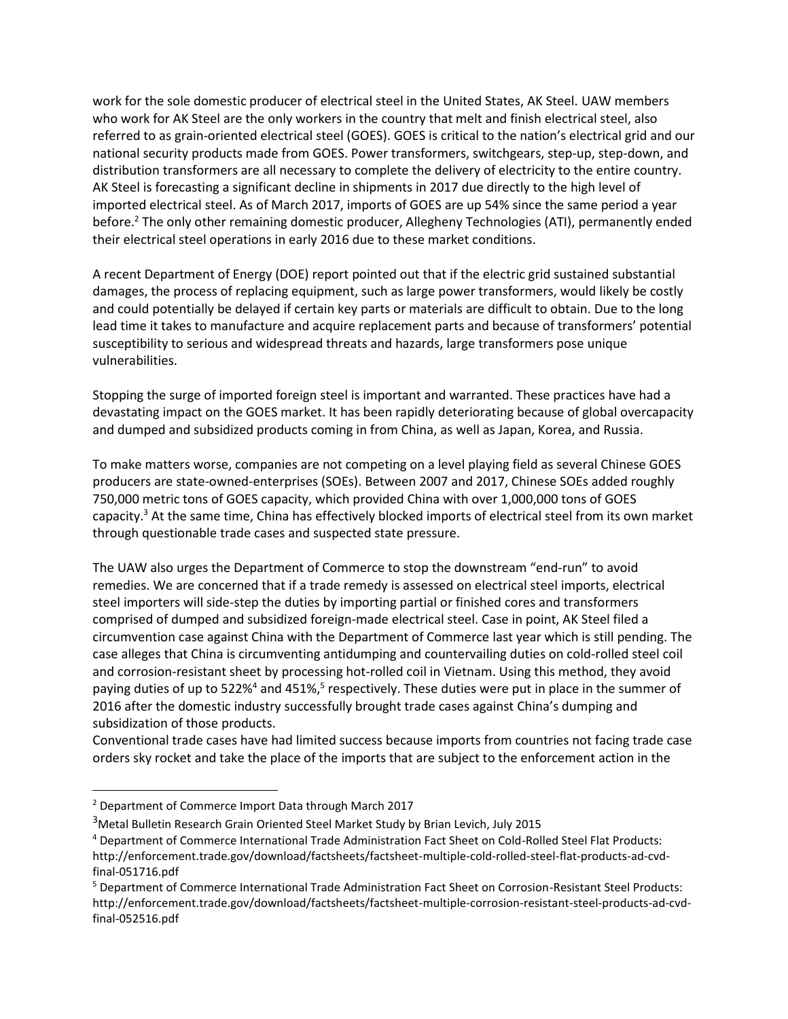work for the sole domestic producer of electrical steel in the United States, AK Steel. UAW members who work for AK Steel are the only workers in the country that melt and finish electrical steel, also referred to as grain-oriented electrical steel (GOES). GOES is critical to the nation's electrical grid and our national security products made from GOES. Power transformers, switchgears, step-up, step-down, and distribution transformers are all necessary to complete the delivery of electricity to the entire country. AK Steel is forecasting a significant decline in shipments in 2017 due directly to the high level of imported electrical steel. As of March 2017, imports of GOES are up 54% since the same period a year before. <sup>2</sup> The only other remaining domestic producer, Allegheny Technologies (ATI), permanently ended their electrical steel operations in early 2016 due to these market conditions.

A recent Department of Energy (DOE) report pointed out that if the electric grid sustained substantial damages, the process of replacing equipment, such as large power transformers, would likely be costly and could potentially be delayed if certain key parts or materials are difficult to obtain. Due to the long lead time it takes to manufacture and acquire replacement parts and because of transformers' potential susceptibility to serious and widespread threats and hazards, large transformers pose unique vulnerabilities.

Stopping the surge of imported foreign steel is important and warranted. These practices have had a devastating impact on the GOES market. It has been rapidly deteriorating because of global overcapacity and dumped and subsidized products coming in from China, as well as Japan, Korea, and Russia.

To make matters worse, companies are not competing on a level playing field as several Chinese GOES producers are state-owned-enterprises (SOEs). Between 2007 and 2017, Chinese SOEs added roughly 750,000 metric tons of GOES capacity, which provided China with over 1,000,000 tons of GOES capacity. <sup>3</sup> At the same time, China has effectively blocked imports of electrical steel from its own market through questionable trade cases and suspected state pressure.

The UAW also urges the Department of Commerce to stop the downstream "end-run" to avoid remedies. We are concerned that if a trade remedy is assessed on electrical steel imports, electrical steel importers will side-step the duties by importing partial or finished cores and transformers comprised of dumped and subsidized foreign-made electrical steel. Case in point, AK Steel filed a circumvention case against China with the Department of Commerce last year which is still pending. The case alleges that China is circumventing antidumping and countervailing duties on cold-rolled steel coil and corrosion-resistant sheet by processing hot-rolled coil in Vietnam. Using this method, they avoid paying duties of up to 522%<sup>4</sup> and 451%,<sup>5</sup> respectively. These duties were put in place in the summer of 2016 after the domestic industry successfully brought trade cases against China's dumping and subsidization of those products.

Conventional trade cases have had limited success because imports from countries not facing trade case orders sky rocket and take the place of the imports that are subject to the enforcement action in the

 $\overline{a}$ 

<sup>2</sup> Department of Commerce Import Data through March 2017

<sup>&</sup>lt;sup>3</sup>Metal Bulletin Research Grain Oriented Steel Market Study by Brian Levich, July 2015

<sup>4</sup> Department of Commerce International Trade Administration Fact Sheet on Cold-Rolled Steel Flat Products: http://enforcement.trade.gov/download/factsheets/factsheet-multiple-cold-rolled-steel-flat-products-ad-cvdfinal-051716.pdf

<sup>5</sup> Department of Commerce International Trade Administration Fact Sheet on Corrosion-Resistant Steel Products: http://enforcement.trade.gov/download/factsheets/factsheet-multiple-corrosion-resistant-steel-products-ad-cvdfinal-052516.pdf